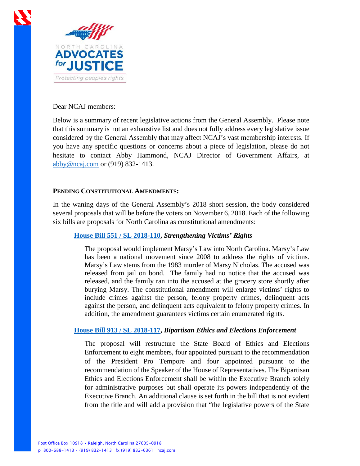

## Dear NCAJ members:

Below is a summary of recent legislative actions from the General Assembly. Please note that this summary is not an exhaustive list and does not fully address every legislative issue considered by the General Assembly that may affect NCAJ's vast membership interests. If you have any specific questions or concerns about a piece of legislation, please do not hesitate to contact Abby Hammond, NCAJ Director of Government Affairs, at [abby@ncaj.com](mailto:abby@ncaj.com) or (919) 832-1413.

# **PENDING CONSTITUTIONAL AMENDMENTS:**

In the waning days of the General Assembly's 2018 short session, the body considered several proposals that will be before the voters on November 6, 2018. Each of the following six bills are proposals for North Carolina as constitutional amendments:

# **[House Bill 551 / SL 2018-110,](https://www2.ncleg.net/BillLookUp/2017/hb%20551)** *Strengthening Victims' Rights*

The proposal would implement Marsy's Law into North Carolina. Marsy's Law has been a national movement since 2008 to address the rights of victims. Marsy's Law stems from the 1983 murder of Marsy Nicholas. The accused was released from jail on bond. The family had no notice that the accused was released, and the family ran into the accused at the grocery store shortly after burying Marsy. The constitutional amendment will enlarge victims' rights to include crimes against the person, felony property crimes, delinquent acts against the person, and delinquent acts equivalent to felony property crimes. In addition, the amendment guarantees victims certain enumerated rights.

# **[House Bill 913 / SL 2018-117,](https://www2.ncleg.net/BillLookup/2017/H913)** *Bipartisan Ethics and Elections Enforcement*

The proposal will restructure the State Board of Ethics and Elections Enforcement to eight members, four appointed pursuant to the recommendation of the President Pro Tempore and four appointed pursuant to the recommendation of the Speaker of the House of Representatives. The Bipartisan Ethics and Elections Enforcement shall be within the Executive Branch solely for administrative purposes but shall operate its powers independently of the Executive Branch. An additional clause is set forth in the bill that is not evident from the title and will add a provision that "the legislative powers of the State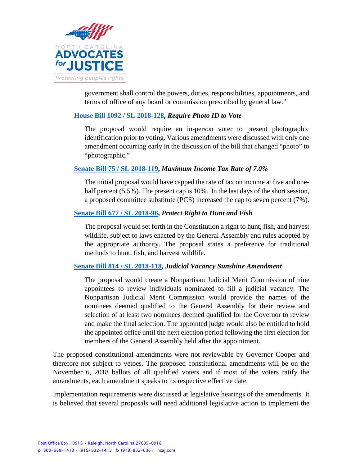

government shall control the powers, duties, responsibilities, appointments, and terms of office of any board or commission prescribed by general law."

# **[House Bill 1092 / SL 2018-128,](https://www2.ncleg.net/BillLookup/2017/H%201092)** *Require Photo ID to Vote*

The proposal would require an in-person voter to present photographic identification prior to voting. Various amendments were discussed with only one amendment occurring early in the discussion of the bill that changed "photo" to "photographic."

### **[Senate Bill 75 / SL 2018-119,](https://www2.ncleg.net/BillLookup/2017/S75)** *Maximum Income Tax Rate of 7.0%*

The initial proposal would have capped the rate of tax on income at five and onehalf percent (5.5%). The present cap is 10%. In the last days of the short session, a proposed committee substitute (PCS) increased the cap to seven percent (7%).

# **[Senate Bill 677 / SL 2018-96,](https://www2.ncleg.net/BillLookup/2017/S677)** *Protect Right to Hunt and Fish*

The proposal would set forth in the Constitution a right to hunt, fish, and harvest wildlife, subject to laws enacted by the General Assembly and rules adopted by the appropriate authority. The proposal states a preference for traditional methods to hunt, fish, and harvest wildlife.

### **[Senate Bill 814 / SL 2018-118,](https://www2.ncleg.net/BillLookup/2017/S814)** *Judicial Vacancy Sunshine Amendment*

The proposal would create a Nonpartisan Judicial Merit Commission of nine appointees to review individuals nominated to fill a judicial vacancy. The Nonpartisan Judicial Merit Commission would provide the names of the nominees deemed qualified to the General Assembly for their review and selection of at least two nominees deemed qualified for the Governor to review and make the final selection. The appointed judge would also be entitled to hold the appointed office until the next election period following the first election for members of the General Assembly held after the appointment.

The proposed constitutional amendments were not reviewable by Governor Cooper and therefore not subject to vetoes. The proposed constitutional amendments will be on the November 6, 2018 ballots of all qualified voters and if most of the voters ratify the amendments, each amendment speaks to its respective effective date.

Implementation requirements were discussed at legislative hearings of the amendments. It is believed that several proposals will need additional legislative action to implement the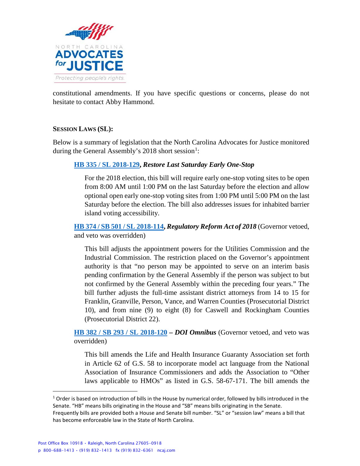

constitutional amendments. If you have specific questions or concerns, please do not hesitate to contact Abby Hammond.

# **SESSION LAWS (SL):**

Below is a summary of legislation that the North Carolina Advocates for Justice monitored during the General Assembly's 20[1](#page-2-0)8 short session<sup>1</sup>:

# **[HB 335 / SL 2018-129,](https://www2.ncleg.net/BillLookup/2017/H335)** *Restore Last Saturday Early One-Stop*

For the 2018 election, this bill will require early one-stop voting sites to be open from 8:00 AM until 1:00 PM on the last Saturday before the election and allow optional open early one-stop voting sites from 1:00 PM until 5:00 PM on the last Saturday before the election. The bill also addresses issues for inhabited barrier island voting accessibility.

**[HB 374 / SB 501 / SL 2018-114,](https://www2.ncleg.net/BillLookup/2017/H374)** *Regulatory Reform Act of 2018* (Governor vetoed, and veto was overridden)

This bill adjusts the appointment powers for the Utilities Commission and the Industrial Commission. The restriction placed on the Governor's appointment authority is that "no person may be appointed to serve on an interim basis pending confirmation by the General Assembly if the person was subject to but not confirmed by the General Assembly within the preceding four years." The bill further adjusts the full-time assistant district attorneys from 14 to 15 for Franklin, Granville, Person, Vance, and Warren Counties (Prosecutorial District 10), and from nine (9) to eight (8) for Caswell and Rockingham Counties (Prosecutorial District 22).

**[HB 382 / SB 293 / SL 2018-120](https://www2.ncleg.net/BillLookup/2017/H382) –** *DOI Omnibus* (Governor vetoed, and veto was overridden)

This bill amends the Life and Health Insurance Guaranty Association set forth in Article 62 of G.S. 58 to incorporate model act language from the National Association of Insurance Commissioners and adds the Association to "Other laws applicable to HMOs" as listed in G.S. 58-67-171. The bill amends the

 $\overline{a}$ 

<span id="page-2-0"></span> $1$  Order is based on introduction of bills in the House by numerical order, followed by bills introduced in the Senate. "HB" means bills originating in the House and "SB" means bills originating in the Senate.

Frequently bills are provided both a House and Senate bill number. "SL" or "session law" means a bill that has become enforceable law in the State of North Carolina.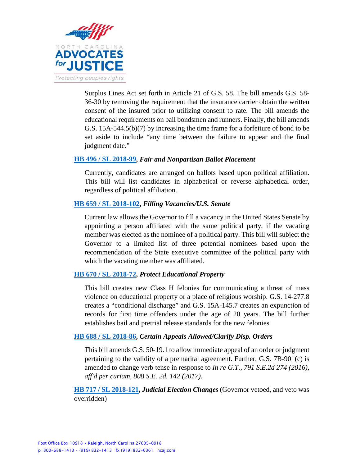

Surplus Lines Act set forth in Article 21 of G.S. 58. The bill amends G.S. 58- 36-30 by removing the requirement that the insurance carrier obtain the written consent of the insured prior to utilizing consent to rate. The bill amends the educational requirements on bail bondsmen and runners. Finally, the bill amends G.S. 15A-544.5(b)(7) by increasing the time frame for a forfeiture of bond to be set aside to include "any time between the failure to appear and the final judgment date."

### **[HB 496 / SL 2018-99,](https://www2.ncleg.net/BillLookup/2017/H496)** *Fair and Nonpartisan Ballot Placement*

Currently, candidates are arranged on ballots based upon political affiliation. This bill will list candidates in alphabetical or reverse alphabetical order, regardless of political affiliation.

### **[HB 659 / SL 2018-102,](https://www2.ncleg.net/BillLookup/2017/H659)** *Filling Vacancies/U.S. Senate*

Current law allows the Governor to fill a vacancy in the United States Senate by appointing a person affiliated with the same political party, if the vacating member was elected as the nominee of a political party. This bill will subject the Governor to a limited list of three potential nominees based upon the recommendation of the State executive committee of the political party with which the vacating member was affiliated.

#### **[HB 670 / SL 2018-72,](https://www2.ncleg.net/BillLookup/2017/H670)** *Protect Educational Property*

This bill creates new Class H felonies for communicating a threat of mass violence on educational property or a place of religious worship. G.S. 14-277.8 creates a "conditional discharge" and G.S. 15A-145.7 creates an expunction of records for first time offenders under the age of 20 years. The bill further establishes bail and pretrial release standards for the new felonies.

#### **[HB 688 / SL 2018-86,](https://www2.ncleg.net/BillLookup/2017/H688)** *Certain Appeals Allowed/Clarify Disp. Orders*

This bill amends G.S. 50-19.1 to allow immediate appeal of an order or judgment pertaining to the validity of a premarital agreement. Further, G.S. 7B-901(c) is amended to change verb tense in response to *In re G.T., 791 S.E.2d 274 (2016), aff'd per curiam, 808 S.E. 2d. 142 (2017)*.

**[HB 717 / SL 2018-121,](https://www2.ncleg.net/BillLookup/2017/H717)** *Judicial Election Changes* (Governor vetoed, and veto was overridden)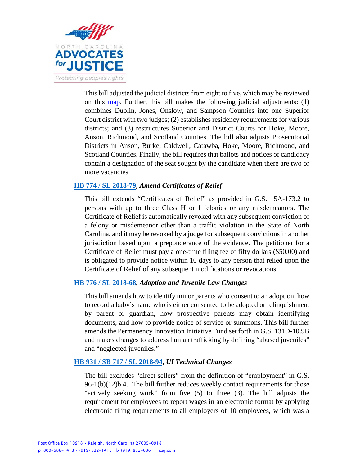

This bill adjusted the judicial districts from eight to five, which may be reviewed on this [map.](https://www.ncleg.net/Sessions/2017/h717maps/HB%20717v8%20Judicial%20Divisions%2011x17.pdf) Further, this bill makes the following judicial adjustments:  $(1)$ combines Duplin, Jones, Onslow, and Sampson Counties into one Superior Court district with two judges; (2) establishes residency requirements for various districts; and (3) restructures Superior and District Courts for Hoke, Moore, Anson, Richmond, and Scotland Counties. The bill also adjusts Prosecutorial Districts in Anson, Burke, Caldwell, Catawba, Hoke, Moore, Richmond, and Scotland Counties. Finally, the bill requires that ballots and notices of candidacy contain a designation of the seat sought by the candidate when there are two or more vacancies.

# **[HB 774 / SL 2018-79,](https://www2.ncleg.net/BillLookup/2017/H774)** *Amend Certificates of Relief*

This bill extends "Certificates of Relief" as provided in G.S. 15A-173.2 to persons with up to three Class H or I felonies or any misdemeanors. The Certificate of Relief is automatically revoked with any subsequent conviction of a felony or misdemeanor other than a traffic violation in the State of North Carolina, and it may be revoked by a judge for subsequent convictions in another jurisdiction based upon a preponderance of the evidence. The petitioner for a Certificate of Relief must pay a one-time filing fee of fifty dollars (\$50.00) and is obligated to provide notice within 10 days to any person that relied upon the Certificate of Relief of any subsequent modifications or revocations.

### **[HB 776 / SL 2018-68,](https://www2.ncleg.net/BillLookup/2017/H776)** *Adoption and Juvenile Law Changes*

This bill amends how to identify minor parents who consent to an adoption, how to record a baby's name who is either consented to be adopted or relinquishment by parent or guardian, how prospective parents may obtain identifying documents, and how to provide notice of service or summons. This bill further amends the Permanency Innovation Initiative Fund set forth in G.S. 131D-10.9B and makes changes to address human trafficking by defining "abused juveniles" and "neglected juveniles."

### **[HB 931 / SB 717 / SL 2018-94,](https://www2.ncleg.net/BillLookup/2017/H931)** *UI Technical Changes*

The bill excludes "direct sellers" from the definition of "employment" in G.S. 96-1(b)(12)b.4. The bill further reduces weekly contact requirements for those "actively seeking work" from five (5) to three (3). The bill adjusts the requirement for employees to report wages in an electronic format by applying electronic filing requirements to all employers of 10 employees, which was a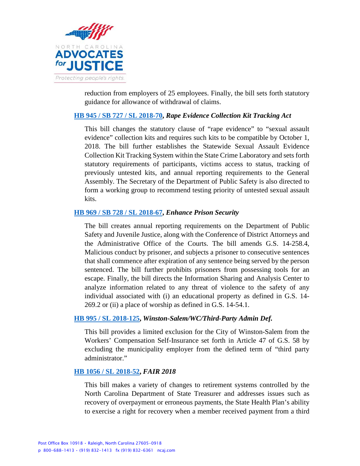

reduction from employers of 25 employees. Finally, the bill sets forth statutory guidance for allowance of withdrawal of claims.

### **[HB 945 / SB 727 / SL 2018-70,](https://www2.ncleg.net/BillLookup/2017/H945)** *Rape Evidence Collection Kit Tracking Act*

This bill changes the statutory clause of "rape evidence" to "sexual assault evidence" collection kits and requires such kits to be compatible by October 1, 2018. The bill further establishes the Statewide Sexual Assault Evidence Collection Kit Tracking System within the State Crime Laboratory and sets forth statutory requirements of participants, victims access to status, tracking of previously untested kits, and annual reporting requirements to the General Assembly. The Secretary of the Department of Public Safety is also directed to form a working group to recommend testing priority of untested sexual assault kits.

### **[HB 969 / SB 728 / SL 2018-67,](https://www2.ncleg.net/BillLookup/2017/H969)** *Enhance Prison Security*

The bill creates annual reporting requirements on the Department of Public Safety and Juvenile Justice, along with the Conference of District Attorneys and the Administrative Office of the Courts. The bill amends G.S. 14-258.4, Malicious conduct by prisoner, and subjects a prisoner to consecutive sentences that shall commence after expiration of any sentence being served by the person sentenced. The bill further prohibits prisoners from possessing tools for an escape. Finally, the bill directs the Information Sharing and Analysis Center to analyze information related to any threat of violence to the safety of any individual associated with (i) an educational property as defined in G.S. 14- 269.2 or (ii) a place of worship as defined in G.S. 14-54.1.

### **[HB 995 / SL 2018-125,](https://www2.ncleg.net/BillLookup/2017/H995)** *Winston-Salem/WC/Third-Party Admin Def.*

This bill provides a limited exclusion for the City of Winston-Salem from the Workers' Compensation Self-Insurance set forth in Article 47 of G.S. 58 by excluding the municipality employer from the defined term of "third party administrator."

#### **[HB 1056 / SL 2018-52,](https://www2.ncleg.net/BillLookup/2017/H1056)** *FAIR 2018*

This bill makes a variety of changes to retirement systems controlled by the North Carolina Department of State Treasurer and addresses issues such as recovery of overpayment or erroneous payments, the State Health Plan's ability to exercise a right for recovery when a member received payment from a third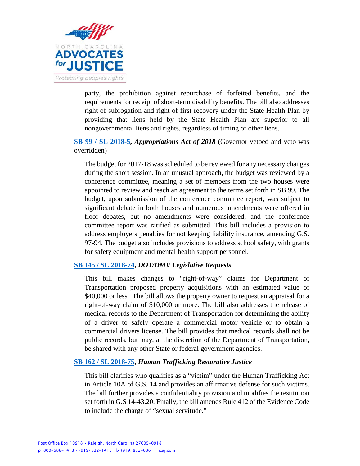

party, the prohibition against repurchase of forfeited benefits, and the requirements for receipt of short-term disability benefits. The bill also addresses right of subrogation and right of first recovery under the State Health Plan by providing that liens held by the State Health Plan are superior to all nongovernmental liens and rights, regardless of timing of other liens.

# **[SB 99 / SL 2018-5,](https://www2.ncleg.net/BillLookUp/2017/s%2099)** *Appropriations Act of 2018* (Governor vetoed and veto was overridden)

The budget for 2017-18 was scheduled to be reviewed for any necessary changes during the short session. In an unusual approach, the budget was reviewed by a conference committee, meaning a set of members from the two houses were appointed to review and reach an agreement to the terms set forth in SB 99. The budget, upon submission of the conference committee report, was subject to significant debate in both houses and numerous amendments were offered in floor debates, but no amendments were considered, and the conference committee report was ratified as submitted. This bill includes a provision to address employers penalties for not keeping liability insurance, amending G.S. 97-94. The budget also includes provisions to address school safety, with grants for safety equipment and mental health support personnel.

# **[SB 145 / SL 2018-74,](https://www2.ncleg.net/BillLookup/2017/S145)** *DOT/DMV Legislative Requests*

This bill makes changes to "right-of-way" claims for Department of Transportation proposed property acquisitions with an estimated value of \$40,000 or less. The bill allows the property owner to request an appraisal for a right-of-way claim of \$10,000 or more. The bill also addresses the release of medical records to the Department of Transportation for determining the ability of a driver to safely operate a commercial motor vehicle or to obtain a commercial drivers license. The bill provides that medical records shall not be public records, but may, at the discretion of the Department of Transportation, be shared with any other State or federal government agencies.

### **[SB 162 / SL 2018-75,](https://www2.ncleg.net/BillLookup/2017/S162)** *Human Trafficking Restorative Justice*

This bill clarifies who qualifies as a "victim" under the Human Trafficking Act in Article 10A of G.S. 14 and provides an affirmative defense for such victims. The bill further provides a confidentiality provision and modifies the restitution set forth in G.S 14-43.20. Finally, the bill amends Rule 412 of the Evidence Code to include the charge of "sexual servitude."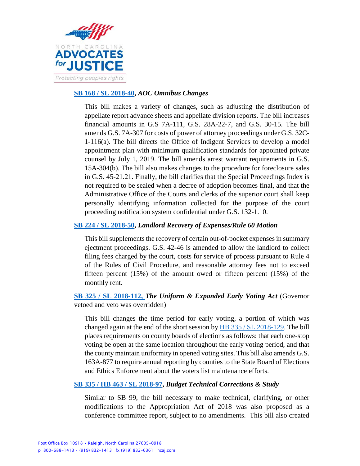

### **[SB 168 / SL 2018-40,](https://www2.ncleg.net/BillLookup/2017/S168)** *AOC Omnibus Changes*

This bill makes a variety of changes, such as adjusting the distribution of appellate report advance sheets and appellate division reports. The bill increases financial amounts in G.S 7A-111, G.S. 28A-22-7, and G.S. 30-15. The bill amends G.S. 7A-307 for costs of power of attorney proceedings under G.S. 32C-1-116(a). The bill directs the Office of Indigent Services to develop a model appointment plan with minimum qualification standards for appointed private counsel by July 1, 2019. The bill amends arrest warrant requirements in G.S. 15A-304(b). The bill also makes changes to the procedure for foreclosure sales in G.S. 45-21.21. Finally, the bill clarifies that the Special Proceedings Index is not required to be sealed when a decree of adoption becomes final, and that the Administrative Office of the Courts and clerks of the superior court shall keep personally identifying information collected for the purpose of the court proceeding notification system confidential under G.S. 132-1.10.

# **[SB 224 / SL 2018-50,](https://www2.ncleg.net/BillLookup/2017/S224)** *Landlord Recovery of Expenses/Rule 60 Motion*

This bill supplements the recovery of certain out-of-pocket expenses in summary ejectment proceedings. G.S. 42-46 is amended to allow the landlord to collect filing fees charged by the court, costs for service of process pursuant to Rule 4 of the Rules of Civil Procedure, and reasonable attorney fees not to exceed fifteen percent (15%) of the amount owed or fifteen percent (15%) of the monthly rent.

# **[SB 325 / SL 2018-112,](https://www2.ncleg.net/BillLookup/2017/s325)** *The Uniform & Expanded Early Voting Act* (Governor vetoed and veto was overridden)

This bill changes the time period for early voting, a portion of which was changed again at the end of the short session by [HB 335 / SL](https://www2.ncleg.net/BillLookUp/2017/h%20335) 2018-129. The bill places requirements on county boards of elections as follows: that each one-stop voting be open at the same location throughout the early voting period, and that the county maintain uniformity in opened voting sites. This bill also amends G.S. 163A-877 to require annual reporting by counties to the State Board of Elections and Ethics Enforcement about the voters list maintenance efforts.

# **[SB 335 / HB 463 / SL 2018-97,](https://www2.ncleg.net/BillLookUp/2017/s%20335)** *Budget Technical Corrections & Study*

Similar to SB 99, the bill necessary to make technical, clarifying, or other modifications to the Appropriation Act of 2018 was also proposed as a conference committee report, subject to no amendments. This bill also created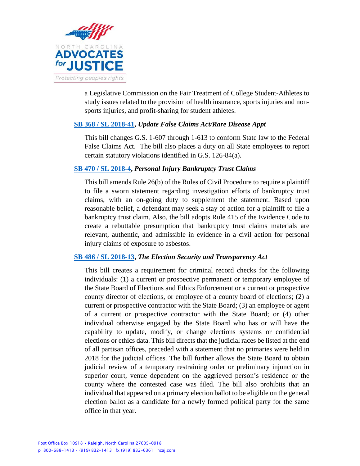

a Legislative Commission on the Fair Treatment of College Student-Athletes to study issues related to the provision of health insurance, sports injuries and nonsports injuries, and profit-sharing for student athletes.

### **[SB 368 / SL 2018-41,](https://www2.ncleg.net/BillLookup/2017/S368)** *Update False Claims Act/Rare Disease Appt*

This bill changes G.S. 1-607 through 1-613 to conform State law to the Federal False Claims Act. The bill also places a duty on all State employees to report certain statutory violations identified in G.S. 126-84(a).

# **[SB 470 / SL 2018-4,](https://www2.ncleg.net/BillLookup/2017/S470)** *Personal Injury Bankruptcy Trust Claims*

This bill amends Rule 26(b) of the Rules of Civil Procedure to require a plaintiff to file a sworn statement regarding investigation efforts of bankruptcy trust claims, with an on-going duty to supplement the statement. Based upon reasonable belief, a defendant may seek a stay of action for a plaintiff to file a bankruptcy trust claim. Also, the bill adopts Rule 415 of the Evidence Code to create a rebuttable presumption that bankruptcy trust claims materials are relevant, authentic, and admissible in evidence in a civil action for personal injury claims of exposure to asbestos.

### **[SB 486 / SL 2018-13,](https://www2.ncleg.net/BillLookup/2017/S486)** *The Election Security and Transparency Act*

This bill creates a requirement for criminal record checks for the following individuals: (1) a current or prospective permanent or temporary employee of the State Board of Elections and Ethics Enforcement or a current or prospective county director of elections, or employee of a county board of elections; (2) a current or prospective contractor with the State Board; (3) an employee or agent of a current or prospective contractor with the State Board; or (4) other individual otherwise engaged by the State Board who has or will have the capability to update, modify, or change elections systems or confidential elections or ethics data. This bill directs that the judicial races be listed at the end of all partisan offices, preceded with a statement that no primaries were held in 2018 for the judicial offices. The bill further allows the State Board to obtain judicial review of a temporary restraining order or preliminary injunction in superior court, venue dependent on the aggrieved person's residence or the county where the contested case was filed. The bill also prohibits that an individual that appeared on a primary election ballot to be eligible on the general election ballot as a candidate for a newly formed political party for the same office in that year.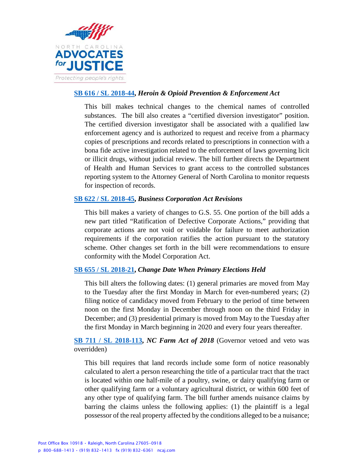

# **[SB 616 / SL 2018-44,](https://www2.ncleg.net/BillLookup/2017/S616)** *Heroin & Opioid Prevention & Enforcement Act*

This bill makes technical changes to the chemical names of controlled substances. The bill also creates a "certified diversion investigator" position. The certified diversion investigator shall be associated with a qualified law enforcement agency and is authorized to request and receive from a pharmacy copies of prescriptions and records related to prescriptions in connection with a bona fide active investigation related to the enforcement of laws governing licit or illicit drugs, without judicial review. The bill further directs the Department of Health and Human Services to grant access to the controlled substances reporting system to the Attorney General of North Carolina to monitor requests for inspection of records.

# **[SB 622 / SL 2018-45,](https://www2.ncleg.net/BillLookup/2017/S622)** *Business Corporation Act Revisions*

This bill makes a variety of changes to G.S. 55. One portion of the bill adds a new part titled "Ratification of Defective Corporate Actions," providing that corporate actions are not void or voidable for failure to meet authorization requirements if the corporation ratifies the action pursuant to the statutory scheme. Other changes set forth in the bill were recommendations to ensure conformity with the Model Corporation Act.

# **[SB 655 / SL 2018-21,](https://www2.ncleg.net/BillLookup/2017/S655)** *Change Date When Primary Elections Held*

This bill alters the following dates: (1) general primaries are moved from May to the Tuesday after the first Monday in March for even-numbered years; (2) filing notice of candidacy moved from February to the period of time between noon on the first Monday in December through noon on the third Friday in December; and (3) presidential primary is moved from May to the Tuesday after the first Monday in March beginning in 2020 and every four years thereafter.

**[SB 711 / SL 2018-113,](https://www2.ncleg.net/BillLookup/2017/S711)** *NC Farm Act of 2018* (Governor vetoed and veto was overridden)

This bill requires that land records include some form of notice reasonably calculated to alert a person researching the title of a particular tract that the tract is located within one half-mile of a poultry, swine, or dairy qualifying farm or other qualifying farm or a voluntary agricultural district, or within 600 feet of any other type of qualifying farm. The bill further amends nuisance claims by barring the claims unless the following applies: (1) the plaintiff is a legal possessor of the real property affected by the conditions alleged to be a nuisance;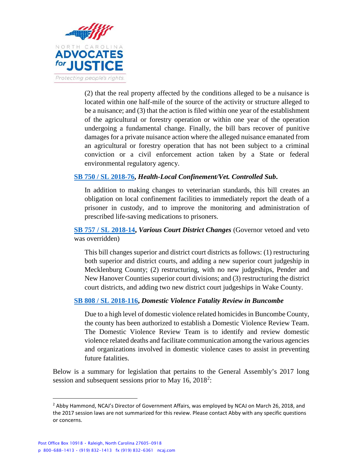

(2) that the real property affected by the conditions alleged to be a nuisance is located within one half-mile of the source of the activity or structure alleged to be a nuisance; and (3) that the action is filed within one year of the establishment of the agricultural or forestry operation or within one year of the operation undergoing a fundamental change. Finally, the bill bars recover of punitive damages for a private nuisance action where the alleged nuisance emanated from an agricultural or forestry operation that has not been subject to a criminal conviction or a civil enforcement action taken by a State or federal environmental regulatory agency.

### **[SB 750 / SL 2018-76,](https://www2.ncleg.net/BillLookup/2017/S750)** *Health-Local Confinement/Vet. Controlled Sub***.**

In addition to making changes to veterinarian standards, this bill creates an obligation on local confinement facilities to immediately report the death of a prisoner in custody, and to improve the monitoring and administration of prescribed life-saving medications to prisoners.

**[SB 757 / SL 2018-14,](https://www2.ncleg.net/BillLookUp/2017/s%20757)** *Various Court District Changes* (Governor vetoed and veto was overridden)

This bill changes superior and district court districts as follows: (1) restructuring both superior and district courts, and adding a new superior court judgeship in Mecklenburg County; (2) restructuring, with no new judgeships, Pender and New Hanover Counties superior court divisions; and (3) restructuring the district court districts, and adding two new district court judgeships in Wake County.

### **[SB 808 / SL 2018-116,](https://www2.ncleg.net/BillLookUp/2017/S808)** *Domestic Violence Fatality Review in Buncombe*

Due to a high level of domestic violence related homicides in Buncombe County, the county has been authorized to establish a Domestic Violence Review Team. The Domestic Violence Review Team is to identify and review domestic violence related deaths and facilitate communication among the various agencies and organizations involved in domestic violence cases to assist in preventing future fatalities.

Below is a summary for legislation that pertains to the General Assembly's 2017 long session and subsequent sessions prior to May  $16$ ,  $2018<sup>2</sup>$  $2018<sup>2</sup>$ :

 $\overline{a}$ 

<span id="page-10-0"></span><sup>&</sup>lt;sup>2</sup> Abby Hammond, NCAJ's Director of Government Affairs, was employed by NCAJ on March 26, 2018, and the 2017 session laws are not summarized for this review. Please contact Abby with any specific questions or concerns.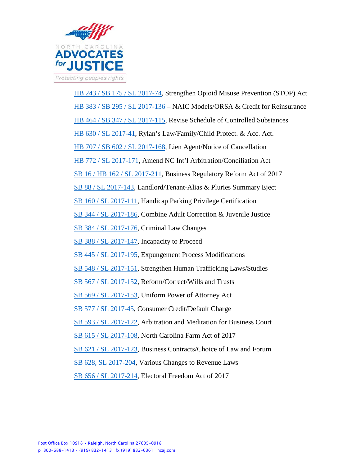

[HB 243 / SB 175 /](https://www2.ncleg.net/BillLookup/2017/H243) SL 2017-74, Strengthen Opioid Misuse Prevention (STOP) Act [HB 383 / SB 295 / SL 2017-136](https://www2.ncleg.net/BillLookup/2017/H383) – NAIC Models/ORSA & Credit for Reinsurance [HB 464 / SB 347 / SL 2017-115,](https://www2.ncleg.net/BillLookup/2017/H464) Revise Schedule of Controlled Substances [HB 630 / SL 2017-41,](https://www2.ncleg.net/BillLookup/2017/H630) Rylan's Law/Family/Child Protect. & Acc. Act. [HB 707 / SB 602 / SL 2017-168,](https://www2.ncleg.net/BillLookup/2017/H707) Lien Agent/Notice of Cancellation [HB 772 / SL 2017-171,](https://www2.ncleg.net/BillLookup/2017/H772) Amend NC Int'l Arbitration/Conciliation Act SB [16 / HB 162 / SL 2017-211,](https://www2.ncleg.net/BillLookup/2017/S16) Business Regulatory Reform Act of 2017 [SB 88 / SL 2017-143,](https://www2.ncleg.net/BillLookup/2017/S88) Landlord/Tenant-Alias & Pluries Summary Eject [SB 160 / SL 2017-111,](https://www2.ncleg.net/BillLookup/2017/S160) Handicap Parking Privilege Certification [SB 344 / SL 2017-186,](https://www2.ncleg.net/BillLookup/2017/S344) Combine Adult Correction & Juvenile Justice SB 384 [/ SL 2017-176,](https://www2.ncleg.net/BillLookup/2017/S384) Criminal Law Changes [SB 388 / SL 2017-147,](https://www2.ncleg.net/BillLookup/2017/S388) Incapacity to Proceed [SB 445 / SL 2017-195,](https://www2.ncleg.net/BillLookup/2017/S445) Expungement Process Modifications [SB 548 / SL 2017-151,](https://www2.ncleg.net/BillLookup/2017/S548) Strengthen Human Trafficking Laws/Studies [SB 567 / SL 2017-152,](https://www2.ncleg.net/BillLookup/2017/S567) Reform/Correct/Wills and Trusts [SB 569 / SL 2017-153,](https://www2.ncleg.net/BillLookup/2017/S569) Uniform Power of Attorney Act [SB 577 / SL 2017-45,](https://www2.ncleg.net/BillLookup/2017/S577) Consumer Credit/Default Charge [SB 593 / SL 2017-122,](https://www2.ncleg.net/BillLookup/2017/S593) Arbitration and Meditation for Business Court [SB 615 / SL 2017-108,](https://www2.ncleg.net/BillLookup/2017/S615) North Carolina Farm Act of 2017 [SB 621 / SL 2017-123,](https://www2.ncleg.net/BillLookup/2017/S621) Business Contracts/Choice of Law and Forum [SB 628, SL 2017-204,](https://www2.ncleg.net/BillLookup/2017/S628) Various Changes to Revenue Laws SB [656 / SL 2017-214,](https://www2.ncleg.net/BillLookup/2017/S656) Electoral Freedom Act of 2017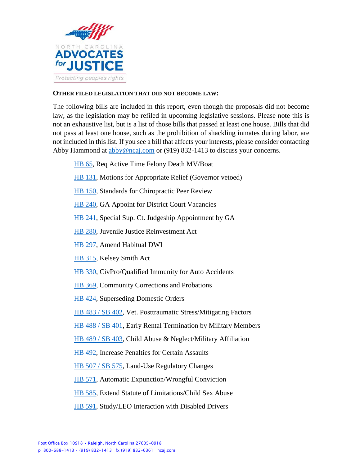

### **OTHER FILED LEGISLATION THAT DID NOT BECOME LAW:**

The following bills are included in this report, even though the proposals did not become law, as the legislation may be refiled in upcoming legislative sessions. Please note this is not an exhaustive list, but is a list of those bills that passed at least one house. Bills that did not pass at least one house, such as the prohibition of shackling inmates during labor, are not included in this list. If you see a bill that affects your interests, please consider contacting Abby Hammond at [abby@ncaj.com](mailto:abby@ncaj.com) or (919) 832-1413 to discuss your concerns.

- [HB 65,](https://www2.ncleg.net/BillLookup/2017/H65) Req Active Time Felony Death MV/Boat
- [HB 131,](https://www2.ncleg.net/BillLookup/2017/H131) Motions for Appropriate Relief (Governor vetoed)
- [HB 150,](https://www2.ncleg.net/BillLookup/2017/H150) Standards for Chiropractic Peer Review
- [HB 240,](https://www2.ncleg.net/BillLookup/2017/H240) GA Appoint for District Court Vacancies
- [HB 241,](https://www2.ncleg.net/BillLookup/2017/H241) Special Sup. Ct. Judgeship Appointment by GA
- [HB 280,](https://www2.ncleg.net/BillLookup/2017/H280) Juvenile Justice Reinvestment Act
- [HB 297,](https://www2.ncleg.net/BillLookup/2017/H297) Amend Habitual DWI
- [HB 315,](https://www2.ncleg.net/BillLookup/2017/H315) Kelsey Smith Act
- [HB 330,](https://www2.ncleg.net/BillLookup/2017/H330) CivPro/Qualified Immunity for Auto Accidents
- [HB 369,](https://www2.ncleg.net/BillLookup/2017/H369) Community Corrections and Probations
- [HB 424,](https://www2.ncleg.net/BillLookup/2017/H424) Superseding Domestic Orders
- [HB 483 / SB 402,](https://www2.ncleg.net/BillLookup/2017/H483) Vet. Posttraumatic Stress/Mitigating Factors
- [HB 488 / SB 401,](https://www2.ncleg.net/BillLookup/2017/H488) Early Rental Termination by Military Members
- [HB 489 / SB 403,](https://www2.ncleg.net/BillLookup/2017/H489) Child Abuse & Neglect/Military Affiliation
- [HB 492,](https://www2.ncleg.net/BillLookup/2017/H492) Increase Penalties for Certain Assaults
- [HB 507 / SB 575,](https://www2.ncleg.net/BillLookup/2017/H507) Land-Use Regulatory Changes
- [HB 571,](https://www2.ncleg.net/BillLookup/2017/H571) Automatic Expunction/Wrongful Conviction
- [HB 585,](https://www2.ncleg.net/BillLookup/2017/H585) Extend Statute of Limitations/Child Sex Abuse
- [HB 591,](https://www2.ncleg.net/BillLookup/2017/H591) Study/LEO Interaction with Disabled Drivers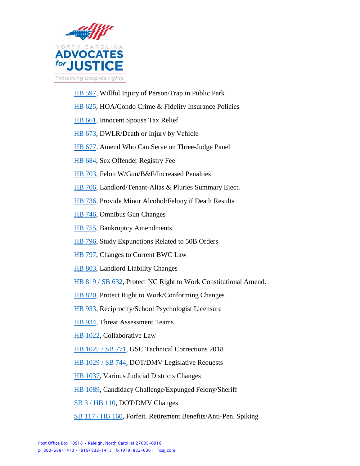

- [HB 597,](https://www2.ncleg.net/BillLookup/2017/H597) Willful Injury of Person/Trap in Public Park
- [HB 625,](https://www2.ncleg.net/BillLookup/2017/H625) HOA/Condo Crime & Fidelity Insurance Policies
- [HB 661,](https://www2.ncleg.net/BillLookup/2017/H661) Innocent Spouse Tax Relief
- [HB 673,](https://www2.ncleg.net/BillLookup/2017/H673) DWLR/Death or Injury by Vehicle
- [HB 677,](https://www2.ncleg.net/BillLookup/2017/H677) Amend Who Can Serve on Three-Judge Panel
- [HB 684,](https://www2.ncleg.net/BillLookup/2017/H684) Sex Offender Registry Fee
- [HB 703,](https://www2.ncleg.net/BillLookup/2017/H703) Felon W/Gun/B&E/Increased Penalties
- [HB 706,](https://www2.ncleg.net/BillLookup/2017/H706) Landlord/Tenant-Alias & Pluries Summary Eject.
- [HB 736,](https://www2.ncleg.net/BillLookup/2017/H736) Provide Minor Alcohol/Felony if Death Results
- [HB 746,](https://www2.ncleg.net/BillLookup/2017/H746) Omnibus Gun Changes
- [HB 755,](https://www2.ncleg.net/BillLookup/2017/H755) Bankruptcy Amendments
- [HB 796,](https://www2.ncleg.net/BillLookup/2017/H796) Study Expunctions Related to 50B Orders
- [HB 797,](https://www2.ncleg.net/BillLookup/2017/H797) Changes to Current BWC Law
- [HB 803,](https://www2.ncleg.net/BillLookup/2017/H803) Landlord Liability Changes
- [HB 819 / SB 632,](https://www2.ncleg.net/BillLookup/2017/H819) Protect NC Right to Work Constitutional Amend.
- [HB 820,](https://www2.ncleg.net/BillLookup/2017/H820) Protect Right to Work/Conforming Changes
- [HB 933,](https://www2.ncleg.net/BillLookup/2017/H933) Reciprocity/School Psychologist Licensure
- [HB 934,](https://www2.ncleg.net/BillLookup/2017/H934) Threat Assessment Teams
- [HB 1022,](https://www2.ncleg.net/BillLookup/2017/H1022) Collaborative Law
- [HB 1025 / SB 771,](https://www2.ncleg.net/BillLookup/2017/H1025) GSC Technical Corrections 2018
- [HB 1029 / SB 744,](https://www2.ncleg.net/BillLookup/2017/H1029) DOT/DMV Legislative Requests
- [HB 1037,](https://www2.ncleg.net/BillLookup/2017/H1037) Various Judicial Districts Changes
- [HB 1089,](https://www2.ncleg.net/BillLookup/2017/H1089) Candidacy Challenge/Expunged Felony/Sheriff
- [SB 3 / HB 110,](https://www2.ncleg.net/BillLookup/2017/S3) DOT/DMV Changes
- [SB 117 / HB 160,](https://www2.ncleg.net/BillLookup/2017/S117) Forfeit. Retirement Benefits/Anti-Pen. Spiking